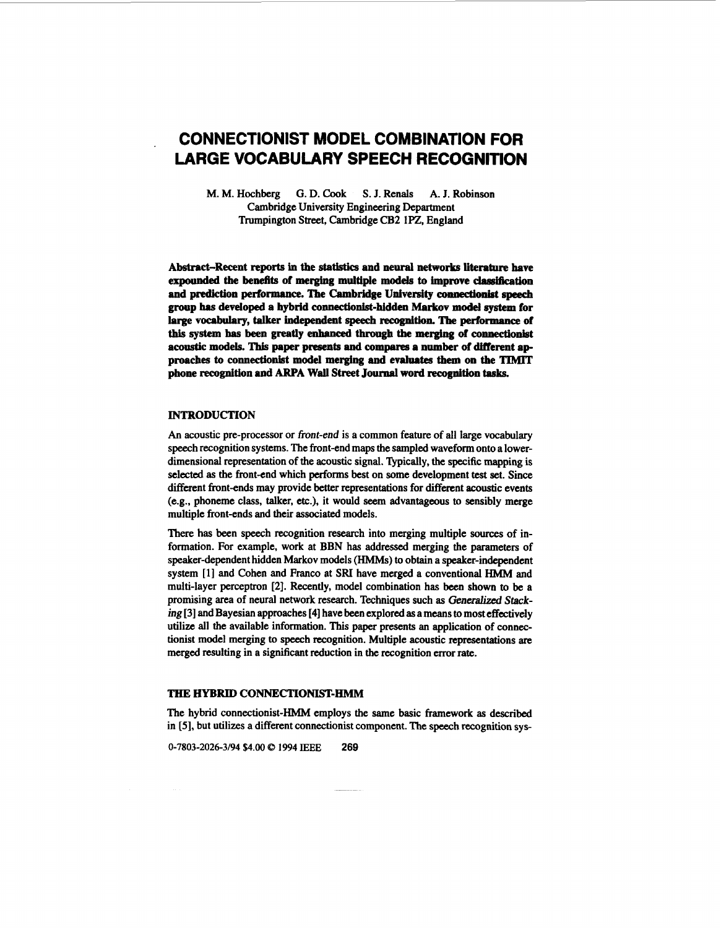# **CONNECTIONIST MODEL COMBINATION FOR LARGE VOCABULARY SPEECH RECOGNITION**

M. M. Hochberg G. **D.** Cook **S.** J. Rends **A.** J. Robinson Cambridge University Engineering Department Trumpington Street, Cambridge **CB2** lPZ, England

Abstract-Recent reports in the statistics and neural networks literature have **expounded the benefits of merging multiple models to improve classification and prediction performance. The Cambridge University eonwctioniot speech group has developed a hybrid connectionist-hidden Markov model** *system* **for**  large vocabulary, talker independent speech recognition. The performance of this **system has been greatly enhanced through** the **merging of connectionist aconstic models.** This **paper presents and compares a number of Merent approaches to connectionist model merging and evaluates** them **on the TIMIT phone recognition and ARPA Wall Street Journal word recognition tasks.** 

## **INTRODUCTION**

*An* acoustic pre-processor or front-end is a common feature of all large vocabulary speech recognition systems. The front-end maps the sampled waveform onto a lowerdimensional representation of the acoustic signal. Typically, the specific mapping is selected as the front-end which performs best on some development test set. Since different front-ends may provide better representations for different acoustic events (e.g., phoneme class, talker, etc.), it would seem advantageous **to** sensibly merge multiple front-ends and their associated models.

There has been speech recognition research into merging multiple **sources** of information. For example, work at BBN has addressed merging the parameters of speaker-dependent hidden Markov models (HMMs) to obtain a speaker-independent system **[l]** and Cohen and Franco at **SRI** have merged a conventional HMM and multi-layer perceptron **[2].** Recently, model combination has been shown to be a promising area of neural network research. Techniques such **as** Generalized *Stack*ing [3] and Bayesian approaches [4] have been explored as a means to most effectively utilize all the available information. This paper presents an application of connectionist model merging **to** speech mognition. Multiple acoustic representations are merged resulting in a significant reduction in **the** recognition error rate.

## **THE HYBRID CONNECTIONIST-HMM**

The hybrid connectionist-HMM employs the **same** basic framework **as** described in *[5],* but utilizes a different connectionist component. The speech recognition sys-

**0-7803-2026-3194 \$4.00** *8* **1994 IEEE 269**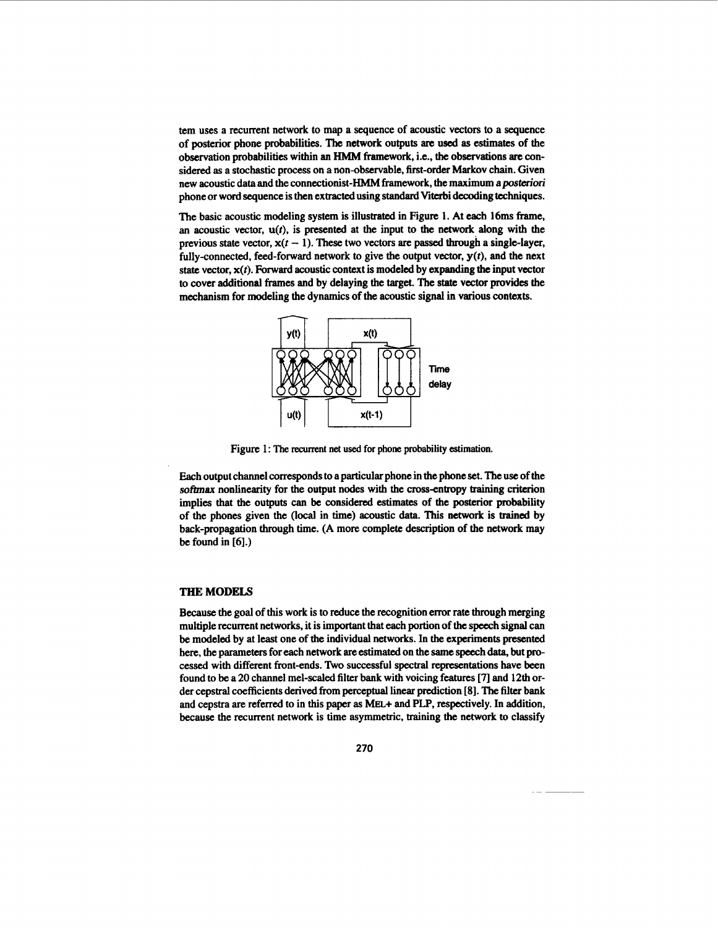tem uses a recurrent network to map a sequence of acoustic vectors to a sequence of posterior phone probabilities. The network outputs **are** used **as** estimates of the observation probabilities within an HMM framework, i.e., **the** observations **are** considered **as** a stochastic process on **a** non-observable, first-order Markov chain. Given new acoustic data and the connectionist-HMM framework, the maximum a posteriori phone or word sequence is then extracted using standard Viterbi decoding techniques.

The basic acoustic modeling system is illustrated in Figure 1. At each 16ms frame, an acoustic vector,  $u(t)$ , is presented at the input to the network along with the previous state vector,  $x(t - 1)$ . These two vectors are passed through a single-layer, fully-connected, feed-forward network to give the output vector, *y(t),* and the next state vector, *x(t).* Forward acoustic context is modeled by expanding **the** input vector to cover additional frames and by delaying the target. The **state** vector provides the mechanism for modeling the dynamics of the acoustic signal in various contexts.



Figure 1: The recurrent net used for phone probability estimation.

Each output channel corresponds to a particular phone in the phone set. The use of the **softmax** nonlinearity for the output nodes with the crossentropy training criterion implies that the outputs *can* **be** considered estimates of the posterior probability of the phones given the (local in time) acoustic **data. This** network is **trained** by back-propagation through time. (A more complete description of **the** network may be found in *[6].)* 

# **THE MODELS**

**Because** the goal of **this** work is to reduce the recognition error rate through merging multiple recurrent networks, it is important that each portion of **the speech** signal can be modeled by at least one of the individual networks. In **the** experiments presented here, the parameters for each network are estimated on the same speech **data,** but processed with different front-ends. *'ho* successful spectral representations have been found to be a *20* channel mel-scaled filter bank with voicing features **[7]** and 12th order cepstral coefficients derived from perceptual linear prediction **[8]. The** filter bank and cepstra **are** referred to in **this** paper **as** MEL.+ and **PLP,** respectively. In addition, **because** the recurrent network is time asymmetric, training the network to classify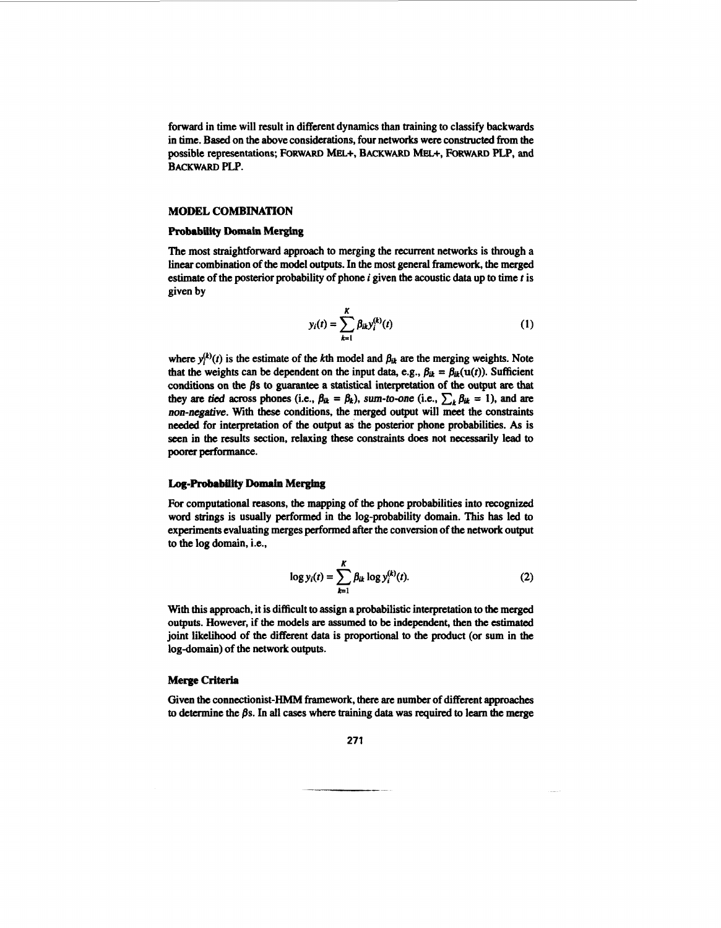forward in time will result in different dynamics **than** training to classify backwards in time. Based on the above considerations, four networks were constructed from the possible representations; FORWARD MEL+, BACKWARD MEL+, FORWARD PLP, and **BACKWARD** PLP.

## **MODEL COMBINATION**

#### **Probability Domain Merging**

The most straightforward approach to merging the recurrent networks is through a linear combination of the model outputs. In the most general framework, the merged estimak of the posterior probability **of** phone *i* given the acoustic **data** up **to** time *t* is given by

$$
y_i(t) = \sum_{k=1}^{K} \beta_{ik} y_i^{(k)}(t)
$$
 (1)

where  $y_i^{(k)}(t)$  is the estimate of the kth model and  $\beta_{ik}$  are the merging weights. Note that the weights can be dependent on the input data, e.g.,  $\beta_{ik} = \beta_{ik}(u(t))$ . Sufficient conditions on the **fls to** guarantee a statistical interpretation of **the output** are **that**  they are *tied* across phones (i.e.,  $\beta_{ik} = \beta_k$ ), sum-to-one (i.e.,  $\sum_k \beta_{ik} = 1$ ), and are *non-negative.* With these conditions, the merged output will meet the **constraints**  needed for interpretation of the output **as** the posterior phone probabilities. *As* is seen in **the** results section, relaxing these constraints does not necessarily lead **to**  poorer performance.

## **Log-Probability Domain Merging**

**For** computational reasons, the mapping of the phone probabilities into recognized word strings is usually performed in **the** log-probability domain. This **has** led to experiments evaluating merges performed after the conversion of the network output **to** the log domain, i.e.,

$$
\log y_i(t) = \sum_{k=1}^{K} \beta_{ik} \log y_i^{(k)}(t). \tag{2}
$$

With **this** approach, it is difficult to assign **a** probabilistic interpretation **to the** merged outputs. However, if the models are assumed to **be** independent, then the **estimated**  joint likelihood of the different **data** is proportional to the product (or sum in the log-domain) of the network outputs.

## **Merge Criteria**

Given **the** connectionist-HMM framework, there **are** number of different approaches to determine the *Bs.* In all **cases** where training **data** was required **to** learn **the** *merge*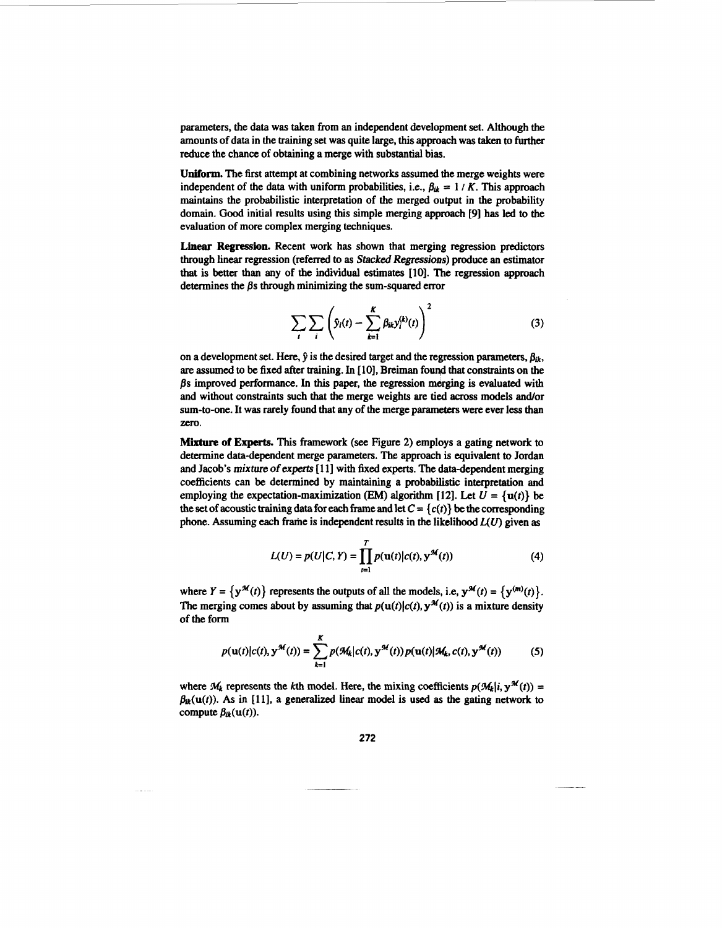parameters, the data was taken from an independent development set. Although the amounts of data in the training set was quite large, **this** approach was taken to further **reduce** the chance of obtaining a merge with substantial bias.

**Uniform.** The first attempt at combining networks assumed the merge weights were independent of the data with uniform probabilities, i.e.,  $\beta_{ik} = 1 / K$ . This approach maintains the probabilistic interpretation of the merged output in the probability domain. Good initial results using this simple merging approach [9] has led to the evaluation of more complex merging techniques.

**Linear Regression.** Recent work has shown that merging regression predictors through linear regression (referred to **as** *Stacked* Regressions) produce an estimator that is better than any of the individual estimates **[lo]. The** regression approach determines the  $\beta s$  through minimizing the sum-squared error

$$
\sum_{i} \sum_{i} \left( \hat{y}_i(t) - \sum_{k=1}^{K} \beta_{ik} y_i^{(k)}(t) \right)^2 \tag{3}
$$

on a development set. Here,  $\hat{y}$  is the desired target and the regression parameters,  $\beta_{ik}$ , are assumed to be fixed after training. In [ **101,** Breiman fouqd that constraints on the /h improved performance. In **this** paper, the regression merging is evaluated with and without constraints such that the merge weights are tied **across** models and/or sum-to-one. It was rarely found that any of the merge parameters were ever less than zero.

**Mixture of Expert& This** framework *(see* Figure **2)** employs a gating network to determine data-dependent merge parameters. The approach is equivalent **to Jordan**  and Jacob's mixture of experts [11] with fixed experts. The data-dependent merging coefficients can be determined by maintaining **a** probabilistic interpretation and employing the expectation-maximization **(EM)** algorithm **[12]**. Let  $U = \{u(t)\}\)$ the set of acoustic training data for each frame and let  $C = \{c(t)\}\$  be the corresponding phone. Assuming each frame is independent results in the likelihood  $L(U)$  given as

$$
L(U) = p(U|C, Y) = \prod_{i=1}^{T} p(u(t)|c(t), y^{\mathcal{M}}(t))
$$
 (4)

where  $Y = \{y^{\mathcal{M}}(t)\}\)$  represents the outputs of all the models, i.e,  $y^{\mathcal{M}}(t) = \{y^{(m)}(t)\}\$ . The merging comes about by assuming that  $p(u(t)|c(t), y^{\mathcal{M}}(t))$  is a mixture density of **the** form

$$
p(\mathbf{u}(t)|c(t), \mathbf{y}^{\mathcal{M}}(t)) = \sum_{k=1}^{K} p(\mathcal{M}_k|c(t), \mathbf{y}^{\mathcal{M}}(t)) p(\mathbf{u}(t)|\mathcal{M}_k, c(t), \mathbf{y}^{\mathcal{M}}(t))
$$
 (5)

where  $M_k$  represents the *k*th model. Here, the mixing coefficients  $p(M_k|i, y^M(t)) =$  $\beta_{ik}(\mathbf{u}(t))$ . As in [11], a generalized linear model is used as the gating network to compute  $\beta_{ik}(\mathbf{u}(t))$ .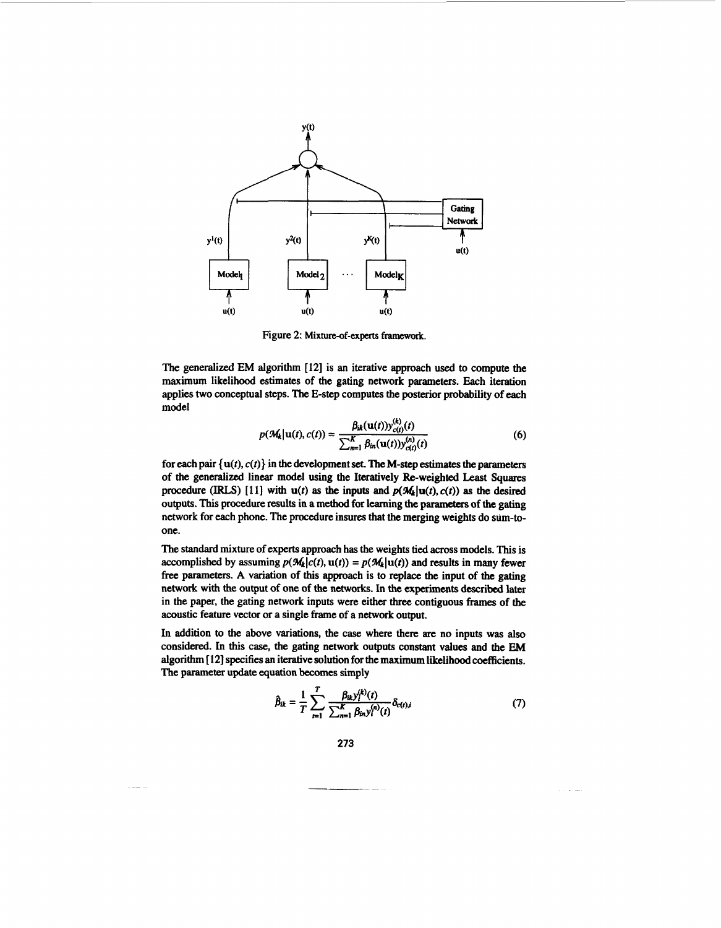

Figure **2: Mixture-of-experts framework.** 

The generalized EM algorithm **[I21** is an iterative approach used to compute the maximum likelihood estimates of the gating network parameters. Each iteration applies two conceptual steps. The E-step computes the posterior probability of each model

$$
p(M_k|u(t), c(t)) = \frac{\beta_{ik}(u(t))y_{c(t)}^{(k)}(t)}{\sum_{n=1}^{K} \beta_{in}(u(t))y_{c(t)}^{(n)}(t)}
$$
(6)

for each pair  $\{u(t), c(t)\}\$  in the development set. The M-step estimates the parameters of the generalized linear model using the Ileratively &-weighted Least **Squares**  procedure (IRLS) [11] with  $u(t)$  as the inputs and  $p(M_k|u(t), c(t))$  as the desired outputs. **This** procedure results in a method for learning **the** parameters of **the** gating network for each phone. The procedure insures that the merging weights do sum-toone.

The standard mixture of experts approach has the weights tied across models. **This** is accomplished by assuming  $p(\mathcal{M}_k|c(t), \mathbf{u}(t)) = p(\mathcal{M}_k|\mathbf{u}(t))$  and results in many fewer free parameters. **A** variation of **this** approach is to replace the input of the gating network with the output of one of the networks. In the experiments **described** later in the paper, the gating network inputs were either three contiguous **frames** of the acoustic feature vector or a single frame of a network output.

In addition to the above variations, the case where there **are** no inputs was also considered. In this case, the gating network outputs constant values and the EM algorithm [ **121** specifies **an** iterative solution for the maximum likelihood coefficients. The parameter update equation becomes simply

$$
\hat{\beta}_{ik} = \frac{1}{T} \sum_{t=1}^{T} \frac{\beta_{ik} y_i^{(k)}(t)}{\sum_{n=1}^{K} \beta_{in} y_i^{(n)}(t)} \delta_{c(t),i}
$$
(7)

**273**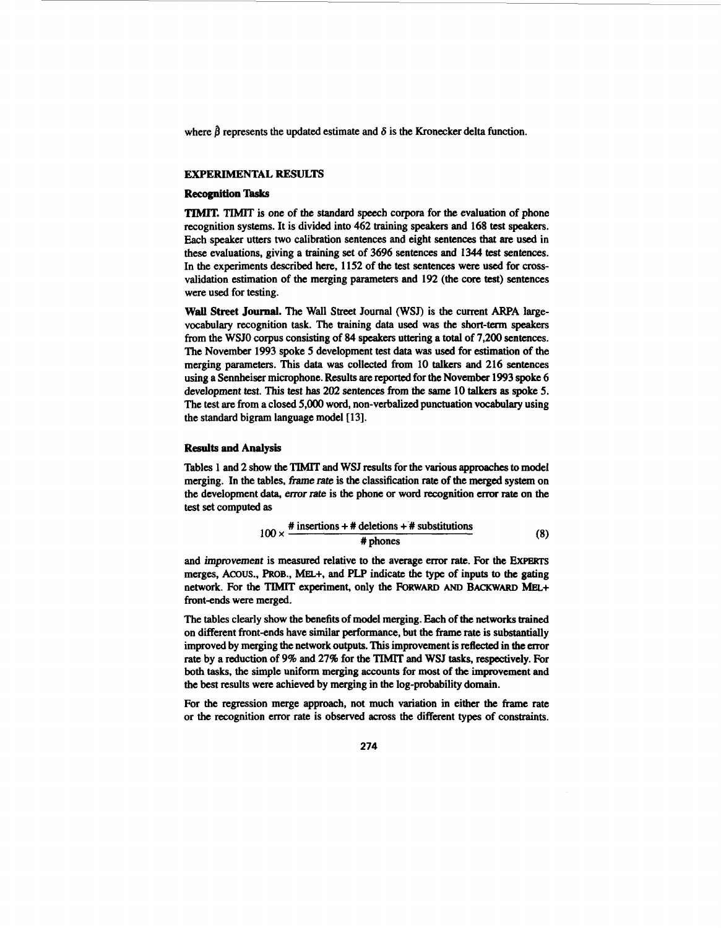where  $\hat{\beta}$  represents the updated estimate and  $\delta$  is the Kronecker delta function.

# **EXPERIMENTAL RESULTS**

#### **Recognition Tasks**

"E TIMIT is one of the **standard** speech corpora for **the** evaluation of phone recognition systems. It is divided into **462** training speakers and **168** test **speakers.**  Each speaker utters two calibration sentences and eight sentences **that** *are* used in these evaluations, giving a training set **of 3696** sentences and **1344** test sentences. In the experiments described here, **1152** of the test sentences were used for **cross**validation estimation of the merging parameters **and 192** (the core test) sentences were used for testing.

**Wall Street Journal.** The Wall Street Journal (WSJ) is the current ARPA largevocabulary recognition task. The training data used was the **short-term speakers**  from the WSJO corpus consisting of **84** speakers uttering a **total** of **7,200** sentences. The November **1993** spoke **5** development test data was used for estimation of the merging parameters. **This** data was collected from **10** talkers and **216** sentences using a Sennheiser microphone. Results *are* **reported** for the November **1993 spoke 6**  development test. **This** *test* **has 202** sentences **from the** same **10 talkers as spoke** *5.*  The test **are** from a closed *5,000* word, non-verbalized punctuation **vocabulary** using the standard bigram language model [ **131.** 

## **Results and Analysis**

Tables **1 and 2** show **the** TIMIT and WSJ results for the various approaches **to** model merging. In the tables, frame *rate* is the classification rate of the merged system on the development **data,** emr rate is **the** phone or word recognition error rate on the test **set** computed **as** 

$$
100 \times \frac{\text{\# insertions + # deletions + # substitutions}}{\text{\# phones}}
$$
 (8)

and *improvement* is measured relative *to* **the** average error rate. For **the ExpEwrs**  merges, **Amus., PROB.,** MEL+, and **PLP** indicate the type of inputs *to* the gating network. For the **TIMIT** experiment, only the **FORWARD** AND **BACKWARD MEL+** front-ends were merged.

The tables clearly show the benefits of model merging. Each of **the** networks trained on different front-ends have similar performance, but the frame rate is substantially improved by merging the network outputs. **This** improvement is **reflected** in **the** mr rate by a reduction of 9% and **27%** for the TIMIT **and WSJ tasks,** respectively. For both **tasks,** the simple uniform merging accounts for **most** of **the** impvement and **the** best results were achieved by merging in the log-probability domain.

For the regression merge approach, not much variation in either **the** frame rate or the recognition error rate is **observed across** the different **types** of constraints.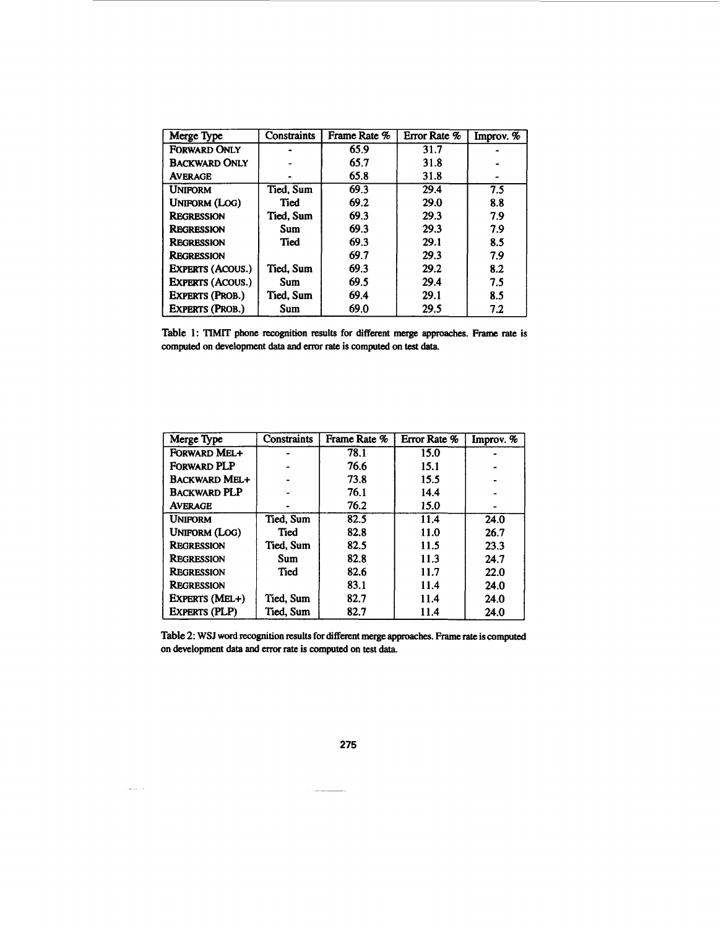| Merge Type              | <b>Constraints</b> | Frame Rate % | Error Rate % | Improv. % |
|-------------------------|--------------------|--------------|--------------|-----------|
| <b>FORWARD ONLY</b>     |                    | 65.9         | 31.7         |           |
| <b>BACKWARD ONLY</b>    |                    | 65.7         | 31.8         |           |
| <b>AVERAGE</b>          |                    | 65.8         | 31.8         |           |
| <b>UNIFORM</b>          | Tied, Sum          | 69.3         | 29.4         | 7.5       |
| <b>UNIFORM (LOG)</b>    | Tied               | 69.2         | 29.0         | 8.8       |
| <b>REGRESSION</b>       | Tied. Sum          | 69.3         | 29.3         | 7.9       |
| <b>REGRESSION</b>       | Sum                | 69.3         | 29.3         | 7.9       |
| REGRESSION              | Tied               | 69.3         | 29.1         | 8.5       |
| <b>REGRESSION</b>       |                    | 69.7         | 29.3         | 7.9       |
| <b>EXPERTS (ACOUS.)</b> | Tied, Sum          | 69.3         | 29.2         | 8.2       |
| <b>EXPERTS (ACOUS.)</b> | Sum                | 69.5         | 29.4         | 7.5       |
| <b>EXPERTS (PROB.)</b>  | Tied, Sum          | 69.4         | 29.1         | 8.5       |
| <b>EXPERTS (PROB.)</b>  | Sum                | 69.0         | 29.5         | 7.2       |

**Table** 1: TIMIT **phone recognition results for different merge approaches. Frame rate is computed on development data and mr rate is computed on** test data.

| Merge Type           | <b>Constraints</b> | Frame Rate % | Error Rate % | Improv. % |
|----------------------|--------------------|--------------|--------------|-----------|
| FORWARD MEL+         |                    | 78.1         | 15.0         |           |
| <b>FORWARD PLP</b>   |                    | 76.6         | 15.1         |           |
| <b>BACKWARD MEL+</b> |                    | 73.8         | 15.5         |           |
| <b>BACKWARD PLP</b>  |                    | 76.1         | 14.4         |           |
| <b>AVERAGE</b>       |                    | 76.2         | 15.0         |           |
| <b>UNIFORM</b>       | Tied, Sum          | 82.5         | 11.4         | 24.0      |
| Uniform (Log)        | Tied               | 82.8         | 11.0         | 26.7      |
| <b>REGRESSION</b>    | Tied, Sum          | 82.5         | 11.5         | 23.3      |
| <b>REGRESSION</b>    | <b>Sum</b>         | 82.8         | 11.3         | 24.7      |
| REGRESSION           | Tied               | 82.6         | 11.7         | 22.0      |
| <b>REGRESSION</b>    |                    | 83.1         | 11.4         | 24.0      |
| EXPERTS (MEL+)       | Tied, Sum          | 82.7         | 11.4         | 24.0      |
| <b>EXPERTS (PLP)</b> | Tied, Sum          | 82.7         | 11.4         | 24.0      |

**Table** 2: **WSJ** word **recognition results for different merge approaches. Frame** rate **is computed on development data and error rate is computed on** test **data.** 

275

 $\sim$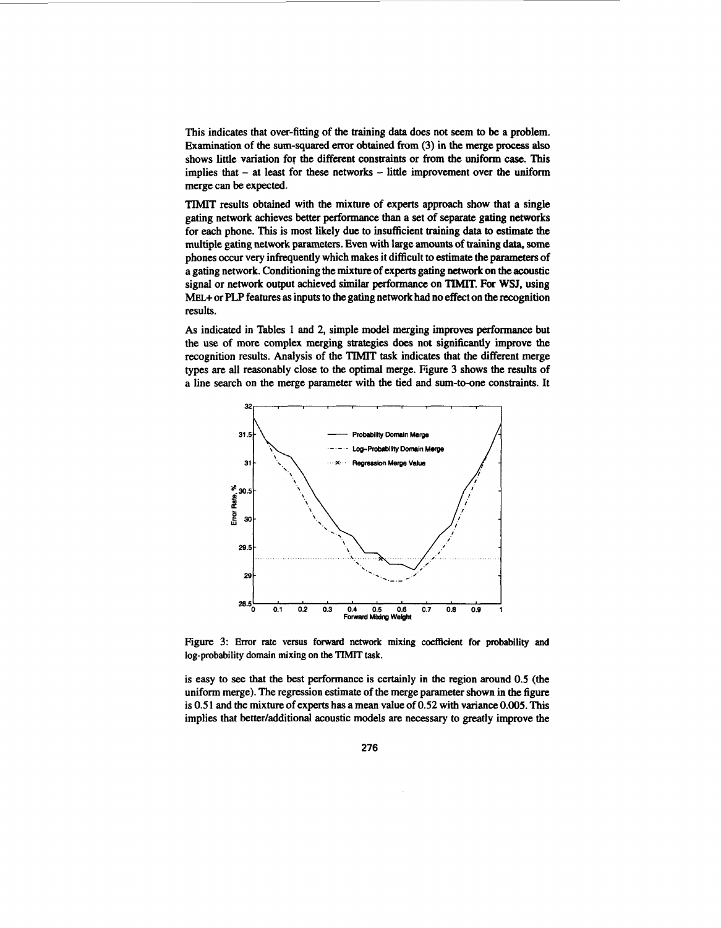This indicates that over-fitting of the training data does not seem to be a problem. Examination of the sum-squared error obtained from *(3)* in **the** merge **process also**  shows little variation for the different constraints or from the uniform case. **This**  implies that - at least for these networks - little improvement over the uniform merge can be expected.

TIMIT results obtained with the mixture of experts approach show that a single gating network achieves better performance than a set of separate gating networks for each phone. **This** is most likely due to insufficient training data **to** estimate the multiple gating network parameters. Even with large amounts of training **data, some**  phones occur very infrequently which makes it difficult to estimate the parameters of a gating network. Conditioning the mixture of experts gating network on the acoustic signal or network output achieved similar performance on TIMIT. For **WSJ,** using MEL+ or **PLP features as** inputs to the gating network had no effect on the recognition results.

*As* indicated in Tables **1** and *2,* simple model merging improves performance but the **use** of more complex merging strategies does not significantly improve the recognition results. Analysis of the TIMIT task indicates that the different merge types are all reasonably close to the optimal merge. Figure 3 shows the results of a line search on the merge parameter with the tied and sum-to-one constraints. It



Figure. 3: Error rate versus **forward network mixing coefficient for probability and log-probability domain mixing on the TIMIT task.** 

is easy to see that the best performance is certainly in the region around *0.5* (the uniform merge). The regression estimate of the merge parameter shown in the figure is *0.5* **1** and the mixture of experts **has** a mean value of *0.52* with **variance** *0.005.* **This**  implies that better/additional acoustic models are necessary to greatly improve the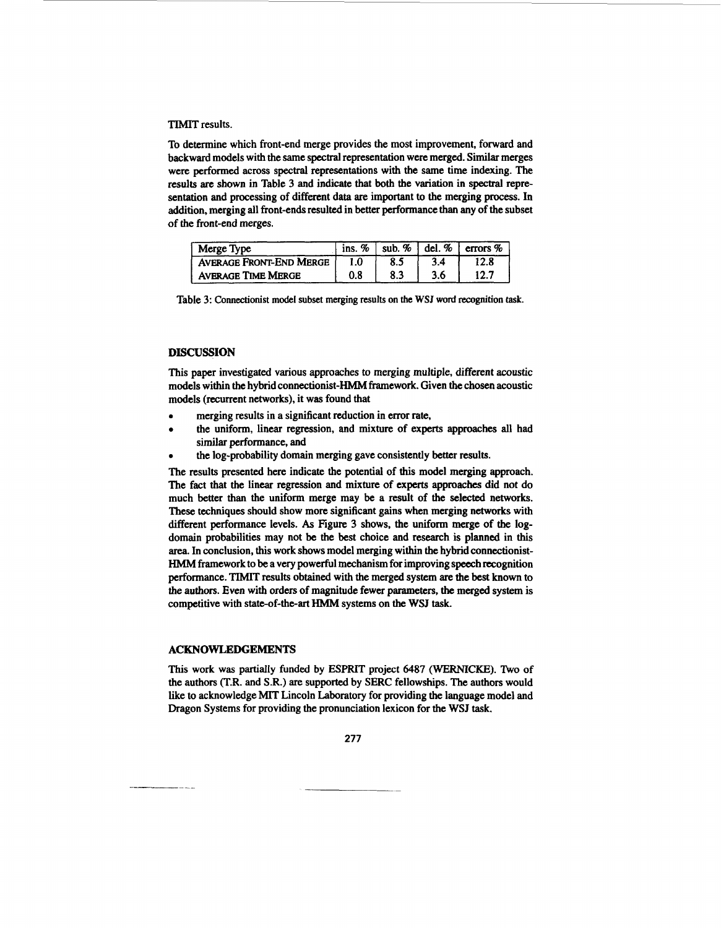## **TIMIT** results.

To determine which front-end merge provides the most improvement, forward and backward models with the same spectral representation were merged. Similar merges were performed across spectral representations with the same time indexing. The results are shown in Table 3 and indicate that both the variation in spectral representation and processing of different data are important to the merging process. In addition, merging all front-ends resulted in better performance than any of the subset of the front-end merges.

| Merge Type                     | ins. $%$ | sub. $%$ | del. $%$ | errors $%$ |
|--------------------------------|----------|----------|----------|------------|
| <b>AVERAGE FRONT-END MERGE</b> |          |          | 3.4      | 12.8       |
| <b>AVERAGE TIME MERGE</b>      | 0.8      | 8.3      | 3.6      |            |

Table **3:** Connectionist model **subset** merging results on the **WSJ** word recognition **task.** 

## **DISCUSSION**

This paper investigated various approaches to merging multiple, different acoustic models within **the** hybrid connectionist-HMM framework. Given the chosen acoustic models (recurrent networks), it was found that

- *0*  merging results in a significant reduction in error rate,
- the uniform, linear regression, and mixture of experts approaches all had ٠ similar performance, and
- *0*  the log-probability domain merging gave consistently better results.

The results presented here indicate the potential of **this** model merging approach. The fact that the linear regression and mixture of experts approaches did not do much better than the uniform merge may be a result of the selected networks. These techniques should show more significant gains when merging networks with different performance levels. *As* Figure 3 shows, the uniform merge of **the** logdomain probabilities may not be the best choice and research is planned in this area. In conclusion, **this** work shows model merging within the hybrid connectionist-HMM framework to be a very powerful mechanism for improving speech recognition performance. TIMIT results obtained with the merged system **are** the best **known** to **the** authors. Even with orders of magnitude fewer parameters, **the** merged system is competitive with state-of-the-art HMM systems on the **WSJ** task.

#### **ACKNOWLEDGEMENTS**

This work was partially **funded** by ESPRIT project **6487 (WERNICKE).** Tivo **of**  the authors **(T.R.** and **S.R.) are** supported by **SERC** fellowships. The authors would like to acknowledge MIT Lincoln Laboratory for providing the language model and Dragon Systems for providing the pronunciation lexicon for the WSJ **task.**